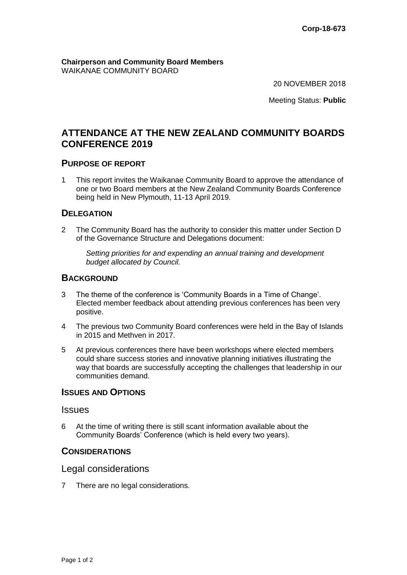**Chairperson and Community Board Members**  WAIKANAE COMMUNITY BOARD

20 NOVEMBER 2018

Meeting Status: **Public** 

# **ATTENDANCE AT THE NEW ZEALAND COMMUNITY BOARDS CONFERENCE 2019**

# **PURPOSE OF REPORT**

1 This report invites the Waikanae Community Board to approve the attendance of one or two Board members at the New Zealand Community Boards Conference being held in New Plymouth, 11-13 April 2019.

# **DELEGATION**

2 The Community Board has the authority to consider this matter under Section D of the Governance Structure and Delegations document:

*Setting priorities for and expending an annual training and development budget allocated by Council.* 

# **BACKGROUND**

- 3 The theme of the conference is 'Community Boards in a Time of Change'. Elected member feedback about attending previous conferences has been very positive.
- 4 The previous two Community Board conferences were held in the Bay of Islands in 2015 and Methven in 2017.
- 5 At previous conferences there have been workshops where elected members could share success stories and innovative planning initiatives illustrating the way that boards are successfully accepting the challenges that leadership in our communities demand.

# **ISSUES AND OPTIONS**

#### Issues

6 At the time of writing there is still scant information available about the Community Boards' Conference (which is held every two years).

#### **CONSIDERATIONS**

### Legal considerations

7 There are no legal considerations.